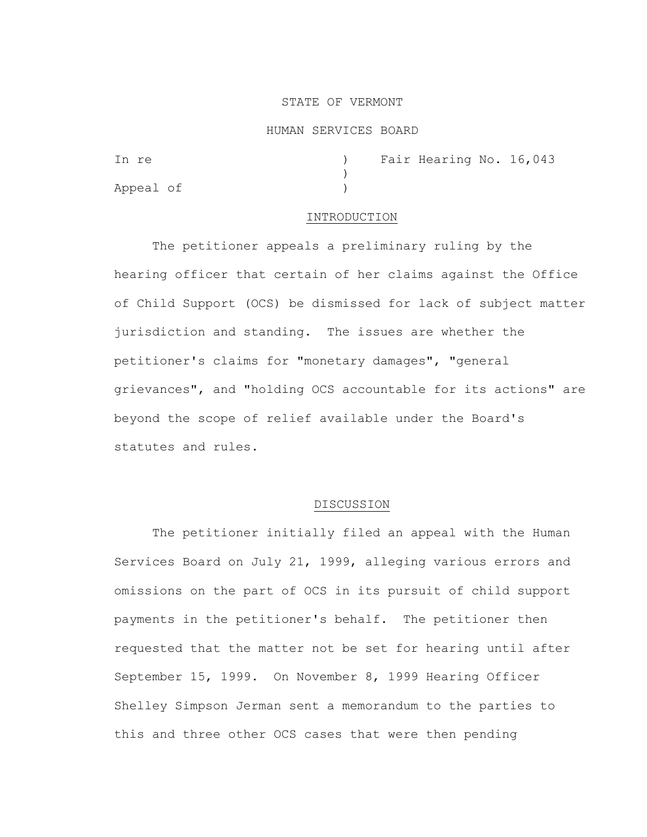### STATE OF VERMONT

#### HUMAN SERVICES BOARD

| In re     |  | ) Fair Hearing No. 16,043 |  |
|-----------|--|---------------------------|--|
|           |  |                           |  |
| Appeal of |  |                           |  |

### INTRODUCTION

The petitioner appeals a preliminary ruling by the hearing officer that certain of her claims against the Office of Child Support (OCS) be dismissed for lack of subject matter jurisdiction and standing. The issues are whether the petitioner's claims for "monetary damages", "general grievances", and "holding OCS accountable for its actions" are beyond the scope of relief available under the Board's statutes and rules.

### DISCUSSION

The petitioner initially filed an appeal with the Human Services Board on July 21, 1999, alleging various errors and omissions on the part of OCS in its pursuit of child support payments in the petitioner's behalf. The petitioner then requested that the matter not be set for hearing until after September 15, 1999. On November 8, 1999 Hearing Officer Shelley Simpson Jerman sent a memorandum to the parties to this and three other OCS cases that were then pending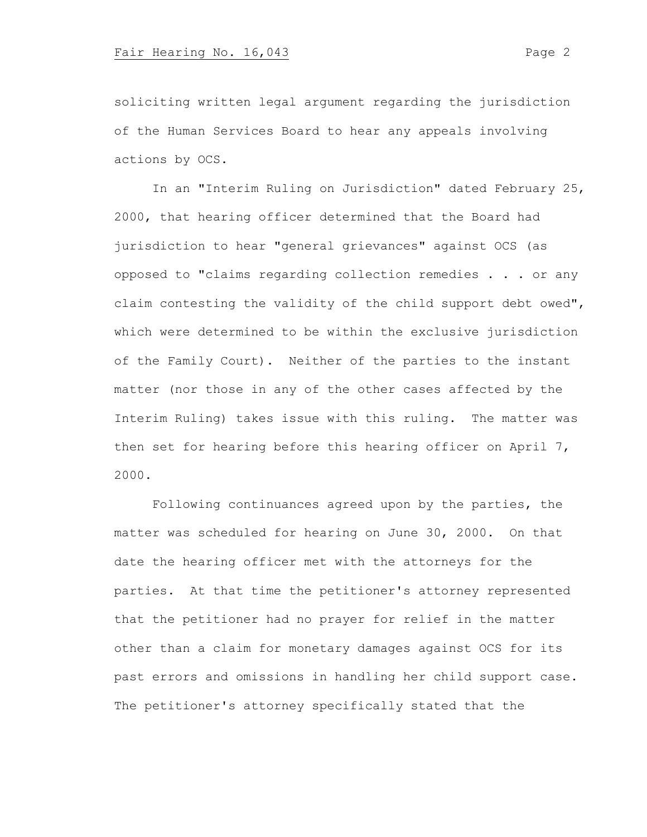soliciting written legal argument regarding the jurisdiction of the Human Services Board to hear any appeals involving actions by OCS.

In an "Interim Ruling on Jurisdiction" dated February 25, 2000, that hearing officer determined that the Board had jurisdiction to hear "general grievances" against OCS (as opposed to "claims regarding collection remedies . . . or any claim contesting the validity of the child support debt owed", which were determined to be within the exclusive jurisdiction of the Family Court). Neither of the parties to the instant matter (nor those in any of the other cases affected by the Interim Ruling) takes issue with this ruling. The matter was then set for hearing before this hearing officer on April 7, 2000.

Following continuances agreed upon by the parties, the matter was scheduled for hearing on June 30, 2000. On that date the hearing officer met with the attorneys for the parties. At that time the petitioner's attorney represented that the petitioner had no prayer for relief in the matter other than a claim for monetary damages against OCS for its past errors and omissions in handling her child support case. The petitioner's attorney specifically stated that the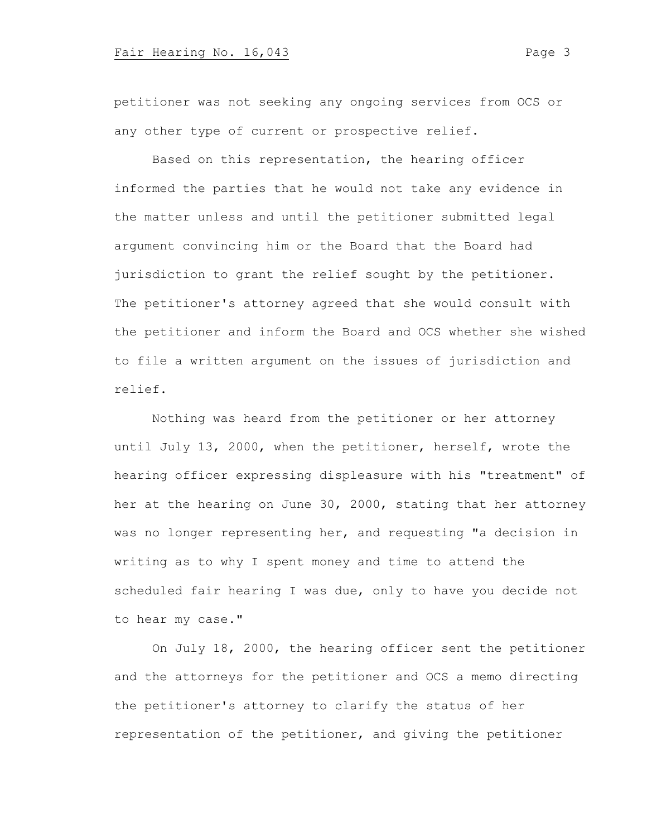## Fair Hearing No. 16,043 Page 3

petitioner was not seeking any ongoing services from OCS or any other type of current or prospective relief.

Based on this representation, the hearing officer informed the parties that he would not take any evidence in the matter unless and until the petitioner submitted legal argument convincing him or the Board that the Board had jurisdiction to grant the relief sought by the petitioner. The petitioner's attorney agreed that she would consult with the petitioner and inform the Board and OCS whether she wished to file a written argument on the issues of jurisdiction and relief.

Nothing was heard from the petitioner or her attorney until July 13, 2000, when the petitioner, herself, wrote the hearing officer expressing displeasure with his "treatment" of her at the hearing on June 30, 2000, stating that her attorney was no longer representing her, and requesting "a decision in writing as to why I spent money and time to attend the scheduled fair hearing I was due, only to have you decide not to hear my case."

On July 18, 2000, the hearing officer sent the petitioner and the attorneys for the petitioner and OCS a memo directing the petitioner's attorney to clarify the status of her representation of the petitioner, and giving the petitioner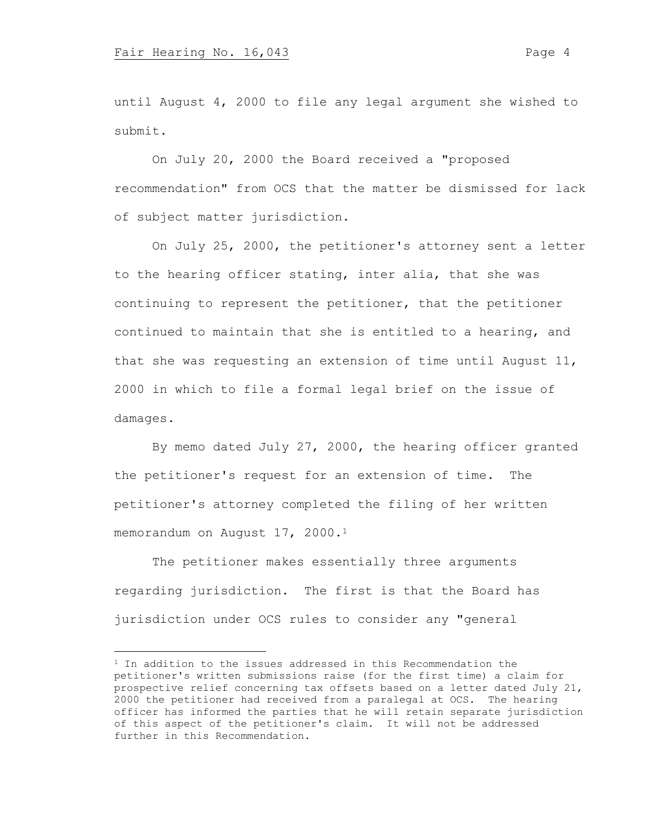until August 4, 2000 to file any legal argument she wished to submit.

On July 20, 2000 the Board received a "proposed recommendation" from OCS that the matter be dismissed for lack of subject matter jurisdiction.

On July 25, 2000, the petitioner's attorney sent a letter to the hearing officer stating, inter alia, that she was continuing to represent the petitioner, that the petitioner continued to maintain that she is entitled to a hearing, and that she was requesting an extension of time until August 11, 2000 in which to file a formal legal brief on the issue of damages.

By memo dated July 27, 2000, the hearing officer granted the petitioner's request for an extension of time. The petitioner's attorney completed the filing of her written memorandum on August 17, 2000.<sup>1</sup>

The petitioner makes essentially three arguments regarding jurisdiction. The first is that the Board has jurisdiction under OCS rules to consider any "general

 $1$  In addition to the issues addressed in this Recommendation the petitioner's written submissions raise (for the first time) a claim for prospective relief concerning tax offsets based on a letter dated July 21, 2000 the petitioner had received from a paralegal at OCS. The hearing officer has informed the parties that he will retain separate jurisdiction of this aspect of the petitioner's claim. It will not be addressed further in this Recommendation.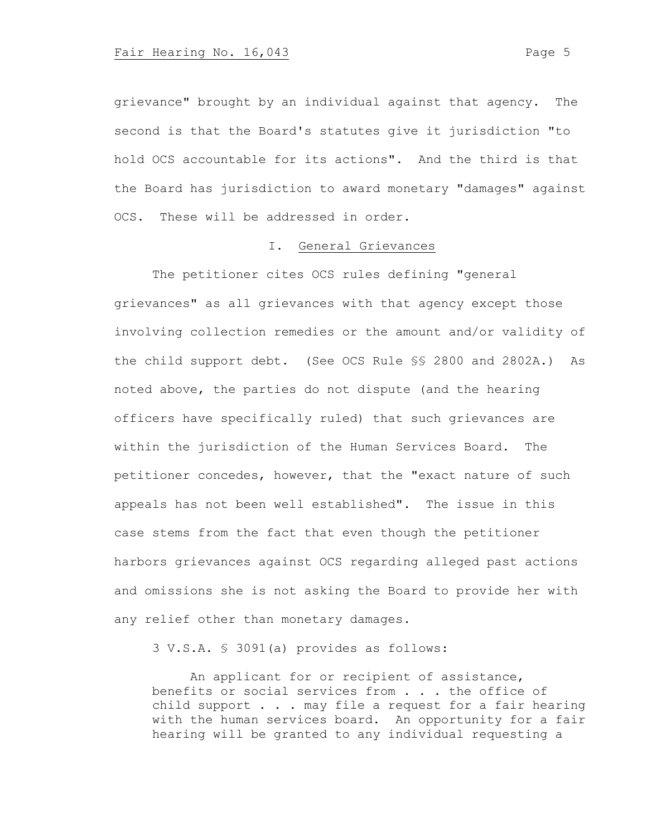grievance" brought by an individual against that agency. The second is that the Board's statutes give it jurisdiction "to hold OCS accountable for its actions". And the third is that the Board has jurisdiction to award monetary "damages" against OCS. These will be addressed in order.

### I. General Grievances

The petitioner cites OCS rules defining "general grievances" as all grievances with that agency except those involving collection remedies or the amount and/or validity of the child support debt. (See OCS Rule §§ 2800 and 2802A.) As noted above, the parties do not dispute (and the hearing officers have specifically ruled) that such grievances are within the jurisdiction of the Human Services Board. The petitioner concedes, however, that the "exact nature of such appeals has not been well established". The issue in this case stems from the fact that even though the petitioner harbors grievances against OCS regarding alleged past actions and omissions she is not asking the Board to provide her with any relief other than monetary damages.

3 V.S.A. § 3091(a) provides as follows:

An applicant for or recipient of assistance, benefits or social services from . . . the office of child support  $\ldots$  . may file a request for a fair hearing with the human services board. An opportunity for a fair hearing will be granted to any individual requesting a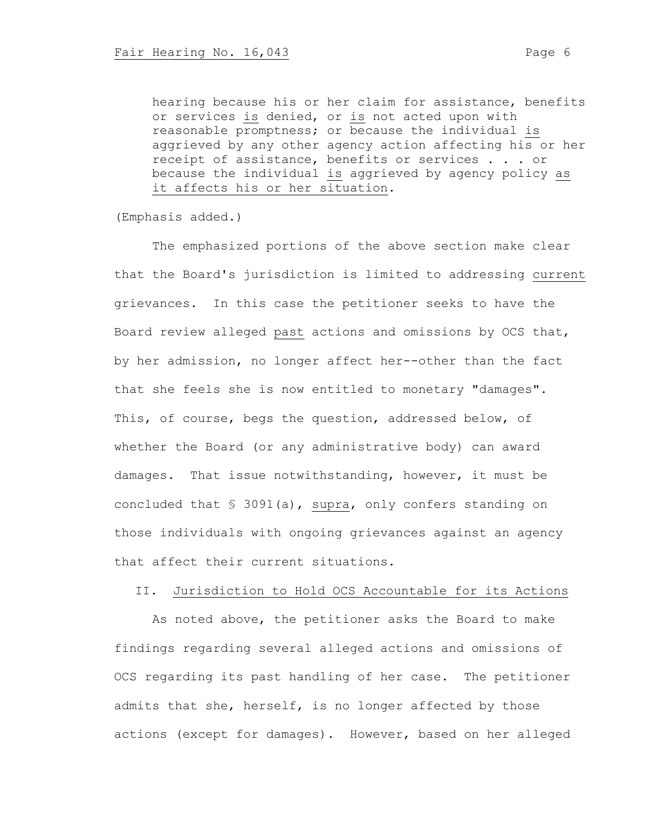hearing because his or her claim for assistance, benefits or services is denied, or is not acted upon with reasonable promptness; or because the individual is aggrieved by any other agency action affecting his or her receipt of assistance, benefits or services . . . or because the individual is aggrieved by agency policy as it affects his or her situation.

(Emphasis added.)

The emphasized portions of the above section make clear that the Board's jurisdiction is limited to addressing current grievances. In this case the petitioner seeks to have the Board review alleged past actions and omissions by OCS that, by her admission, no longer affect her--other than the fact that she feels she is now entitled to monetary "damages". This, of course, begs the question, addressed below, of whether the Board (or any administrative body) can award damages. That issue notwithstanding, however, it must be concluded that § 3091(a), supra, only confers standing on those individuals with ongoing grievances against an agency that affect their current situations.

## II. Jurisdiction to Hold OCS Accountable for its Actions

As noted above, the petitioner asks the Board to make findings regarding several alleged actions and omissions of OCS regarding its past handling of her case. The petitioner admits that she, herself, is no longer affected by those actions (except for damages). However, based on her alleged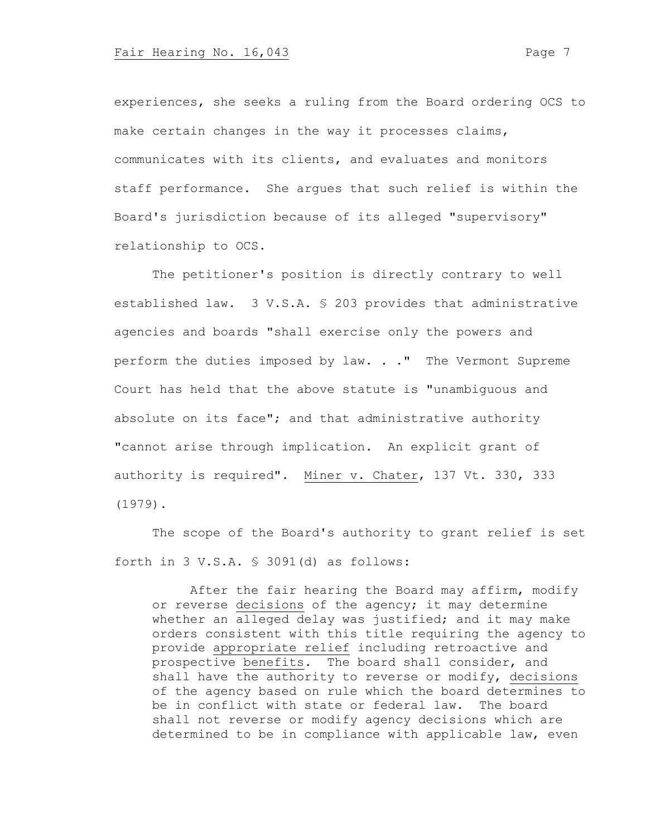experiences, she seeks a ruling from the Board ordering OCS to make certain changes in the way it processes claims, communicates with its clients, and evaluates and monitors staff performance. She argues that such relief is within the Board's jurisdiction because of its alleged "supervisory" relationship to OCS.

The petitioner's position is directly contrary to well established law. 3 V.S.A. § 203 provides that administrative agencies and boards "shall exercise only the powers and perform the duties imposed by law. . ." The Vermont Supreme Court has held that the above statute is "unambiguous and absolute on its face"; and that administrative authority "cannot arise through implication. An explicit grant of authority is required". Miner v. Chater, 137 Vt. 330, 333 (1979).

The scope of the Board's authority to grant relief is set forth in 3 V.S.A. § 3091(d) as follows:

After the fair hearing the Board may affirm, modify or reverse decisions of the agency; it may determine whether an alleged delay was justified; and it may make orders consistent with this title requiring the agency to provide appropriate relief including retroactive and prospective benefits. The board shall consider, and shall have the authority to reverse or modify, decisions of the agency based on rule which the board determines to be in conflict with state or federal law. The board shall not reverse or modify agency decisions which are determined to be in compliance with applicable law, even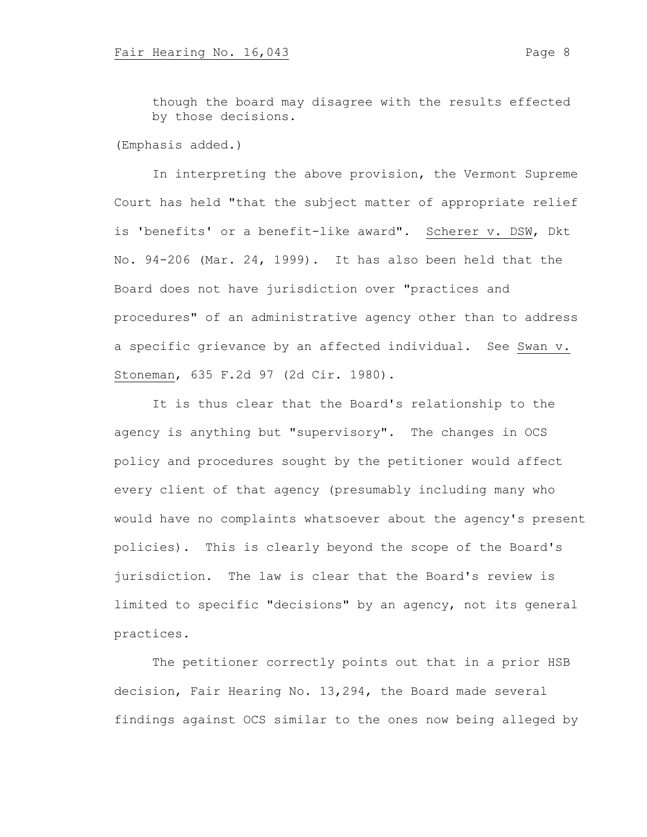though the board may disagree with the results effected by those decisions.

(Emphasis added.)

In interpreting the above provision, the Vermont Supreme Court has held "that the subject matter of appropriate relief is 'benefits' or a benefit-like award". Scherer v. DSW, Dkt No. 94-206 (Mar. 24, 1999). It has also been held that the Board does not have jurisdiction over "practices and procedures" of an administrative agency other than to address a specific grievance by an affected individual. See Swan v. Stoneman, 635 F.2d 97 (2d Cir. 1980).

It is thus clear that the Board's relationship to the agency is anything but "supervisory". The changes in OCS policy and procedures sought by the petitioner would affect every client of that agency (presumably including many who would have no complaints whatsoever about the agency's present policies). This is clearly beyond the scope of the Board's jurisdiction. The law is clear that the Board's review is limited to specific "decisions" by an agency, not its general practices.

The petitioner correctly points out that in a prior HSB decision, Fair Hearing No. 13,294, the Board made several findings against OCS similar to the ones now being alleged by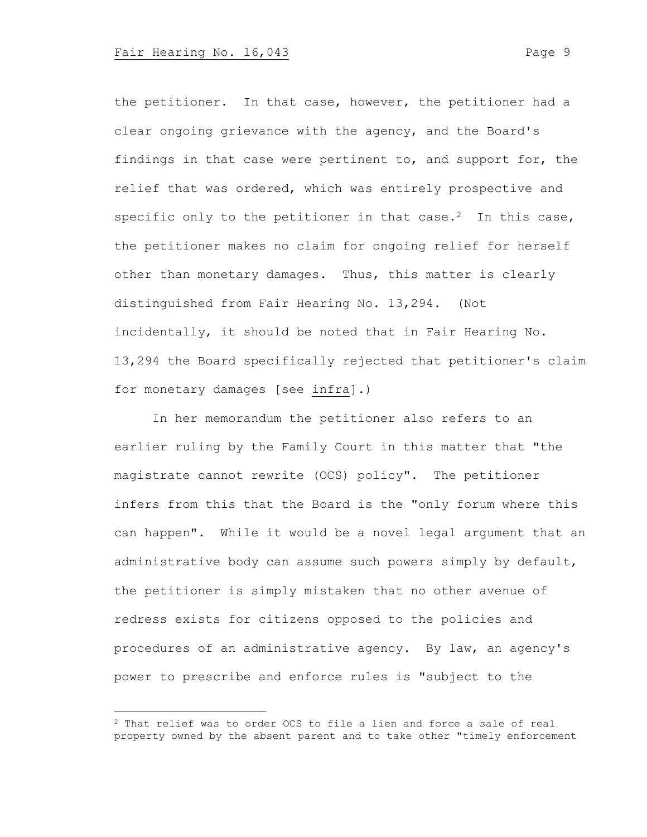the petitioner. In that case, however, the petitioner had a clear ongoing grievance with the agency, and the Board's findings in that case were pertinent to, and support for, the relief that was ordered, which was entirely prospective and specific only to the petitioner in that case.<sup>2</sup> In this case, the petitioner makes no claim for ongoing relief for herself other than monetary damages. Thus, this matter is clearly distinguished from Fair Hearing No. 13,294. (Not incidentally, it should be noted that in Fair Hearing No. 13,294 the Board specifically rejected that petitioner's claim for monetary damages [see infra].)

In her memorandum the petitioner also refers to an earlier ruling by the Family Court in this matter that "the magistrate cannot rewrite (OCS) policy". The petitioner infers from this that the Board is the "only forum where this can happen". While it would be a novel legal argument that an administrative body can assume such powers simply by default, the petitioner is simply mistaken that no other avenue of redress exists for citizens opposed to the policies and procedures of an administrative agency. By law, an agency's power to prescribe and enforce rules is "subject to the

<sup>2</sup> That relief was to order OCS to file a lien and force a sale of real property owned by the absent parent and to take other "timely enforcement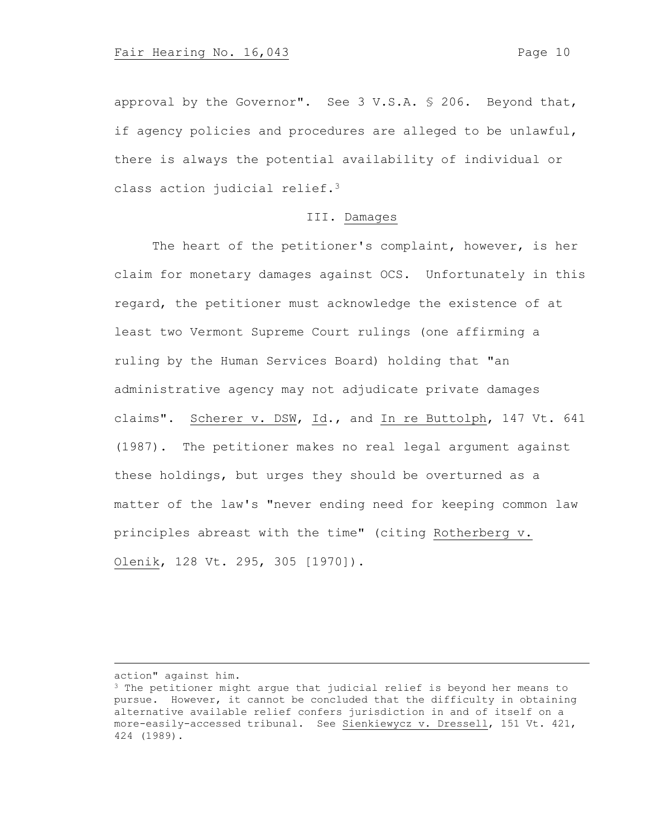approval by the Governor". See 3 V.S.A. § 206. Beyond that, if agency policies and procedures are alleged to be unlawful, there is always the potential availability of individual or class action judicial relief.<sup>3</sup>

# III. Damages

The heart of the petitioner's complaint, however, is her claim for monetary damages against OCS. Unfortunately in this regard, the petitioner must acknowledge the existence of at least two Vermont Supreme Court rulings (one affirming a ruling by the Human Services Board) holding that "an administrative agency may not adjudicate private damages claims". Scherer v. DSW, Id., and In re Buttolph, 147 Vt. 641 (1987). The petitioner makes no real legal argument against these holdings, but urges they should be overturned as a matter of the law's "never ending need for keeping common law principles abreast with the time" (citing Rotherberg v. Olenik, 128 Vt. 295, 305 [1970]).

action" against him.

<sup>3</sup> The petitioner might argue that judicial relief is beyond her means to pursue. However, it cannot be concluded that the difficulty in obtaining alternative available relief confers jurisdiction in and of itself on a more-easily-accessed tribunal. See Sienkiewycz v. Dressell, 151 Vt. 421, 424 (1989).